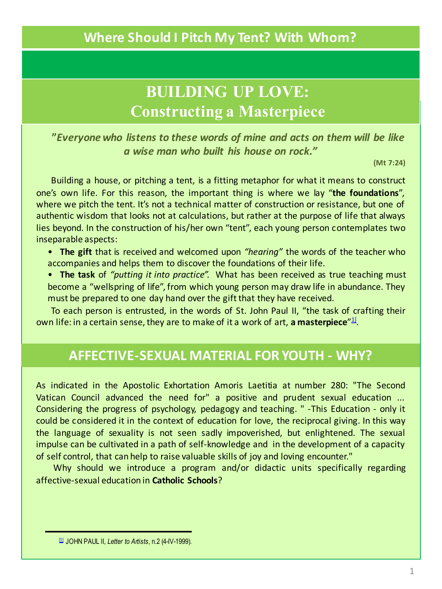# **BUILDING UP LOVE: Constructing a Masterpiece**

**"***Everyone who listens to these words of mine and acts on them will be like a wise man who built his house on rock."*

**(Mt 7:24)**

Building a house, or pitching a tent, is a fitting metaphor for what it means to construct one's own life. For this reason, the important thing is where we lay "**the foundations**", where we pitch the tent. It's not a technical matter of construction or resistance, but one of authentic wisdom that looks not at calculations, but rather at the purpose of life that always lies beyond. In the construction of his/her own "tent", each young person contemplates two inseparable aspects:

- **The gift** that is received and welcomed upon *"hearing"* the words of the teacher who accompanies and helps them to discover the foundations of their life.
- **The task** of *"putting it into practice".* What has been received as true teaching must become a "wellspring of life", from which young person may draw life in abundance. They must be prepared to one day hand over the gift that they have received.

To each person is entrusted, in the words of St. John Paul II, "the task of crafting their own life: in a certain sense, they are to make of it a work of art, **a masterpiece**" $\mathbf{1}$ !

### **AFFECTIVE-SEXUAL MATERIAL FOR YOUTH - WHY?**

As indicated in the Apostolic Exhortation Amoris Laetitia at number 280: "The Second Vatican Council advanced the need for" a positive and prudent sexual education ... Considering the progress of psychology, pedagogy and teaching. " -This Education - only it could be considered it in the context of education for love, the reciprocal giving. In this way the language of sexuality is not seen sadly impoverished, but enlightened. The sexual impulse can be cultivated in a path of self-knowledge and in the development of a capacity of self control, that can help to raise valuable skills of joy and loving encounter."

Why should we introduce a program and/or didactic units specifically regarding affective-sexual education in **Catholic Schools**?

<sup>[1]</sup> JOHN PAUL II, *Letter to Artists*, n.2 (4-IV-1999).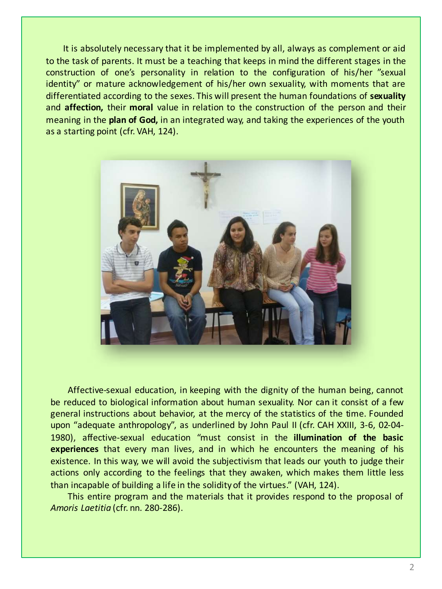It is absolutely necessary that it be implemented by all, always as complement or aid to the task of parents. It must be a teaching that keeps in mind the different stages in the construction of one's personality in relation to the configuration of his/her "sexual identity" or mature acknowledgement of his/her own sexuality, with moments that are differentiated according to the sexes. This will present the human foundations of **sexuality** and **affection,** their **moral** value in relation to the construction of the person and their meaning in the **plan of God,** in an integrated way, and taking the experiences of the youth as a starting point (cfr. VAH, 124).



Affective-sexual education, in keeping with the dignity of the human being, cannot be reduced to biological information about human sexuality. Nor can it consist of a few general instructions about behavior, at the mercy of the statistics of the time. Founded upon "adequate anthropology", as underlined by John Paul II (cfr. CAH XXIII, 3-6, 02-04- 1980), affective-sexual education "must consist in the **illumination of the basic experiences** that every man lives, and in which he encounters the meaning of his existence. In this way, we will avoid the subjectivism that leads our youth to judge their actions only according to the feelings that they awaken, which makes them little less than incapable of building a life in the solidityof the virtues." (VAH, 124).

This entire program and the materials that it provides respond to the proposal of *Amoris Laetitia* (cfr. nn. 280-286).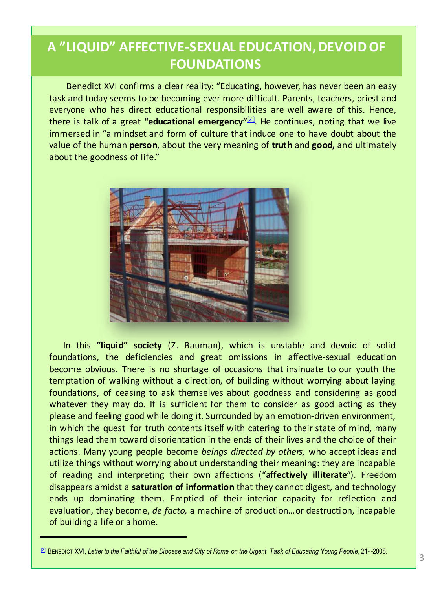# **A "LIQUID" AFFECTIVE-SEXUAL EDUCATION, DEVOID OF FOUNDATIONS**

Benedict XVI confirms a clear reality: "Educating, however, has never been an easy task and today seems to be becoming ever more difficult. Parents, teachers, priest and everyone who has direct educational responsibilities are well aware of this. Hence, there is talk of a great **"educational emergency"**[2] . He continues, noting that we live immersed in "a mindset and form of culture that induce one to have doubt about the value of the human **person**, about the very meaning of **truth** and **good,** and ultimately about the goodness of life."



In this **"liquid" society** (Z. Bauman), which is unstable and devoid of solid foundations, the deficiencies and great omissions in affective-sexual education become obvious. There is no shortage of occasions that insinuate to our youth the temptation of walking without a direction, of building without worrying about laying foundations, of ceasing to ask themselves about goodness and considering as good whatever they may do. If is sufficient for them to consider as good acting as they please and feeling good while doing it. Surrounded by an emotion-driven environment, in which the quest for truth contents itself with catering to their state of mind, many things lead them toward disorientation in the ends of their lives and the choice of their actions. Many young people become *beings directed by others,* who accept ideas and utilize things without worrying about understanding their meaning: they are incapable of reading and interpreting their own affections ("**affectively illiterate**"). Freedom disappears amidst a **saturation of information** that they cannot digest, and technology ends up dominating them. Emptied of their interior capacity for reflection and evaluation, they become, *de facto,* a machine of production…or destruction, incapable of building a life or a home.

<sup>&</sup>lt;sup>[2]</sup> BENEDICT XVI, Letter to the Faithful of the Diocese and City of Rome on the Urgent Task of Educating Young People, 21-1-2008.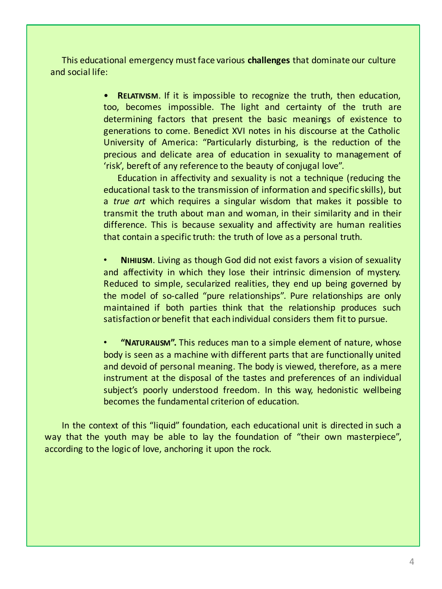This educational emergency must face various **challenges** that dominate our culture and social life:

> • **RELATIVISM**. If it is impossible to recognize the truth, then education, too, becomes impossible. The light and certainty of the truth are determining factors that present the basic meanings of existence to generations to come. Benedict XVI notes in his discourse at the Catholic University of America: "Particularly disturbing, is the reduction of the precious and delicate area of education in sexuality to management of 'risk', bereft of any reference to the beauty of conjugal love".

> Education in affectivity and sexuality is not a technique (reducing the educational task to the transmission of information and specific skills), but a *true art* which requires a singular wisdom that makes it possible to transmit the truth about man and woman, in their similarity and in their difference. This is because sexuality and affectivity are human realities that contain a specific truth: the truth of love as a personal truth.

> **NIHILISM.** Living as though God did not exist favors a vision of sexuality and affectivity in which they lose their intrinsic dimension of mystery. Reduced to simple, secularized realities, they end up being governed by the model of so-called "pure relationships". Pure relationships are only maintained if both parties think that the relationship produces such satisfaction or benefit that each individual considers them fitto pursue.

> • **"NATURALISM".** This reduces man to a simple element of nature, whose body is seen as a machine with different parts that are functionally united and devoid of personal meaning. The body is viewed, therefore, as a mere instrument at the disposal of the tastes and preferences of an individual subject's poorly understood freedom. In this way, hedonistic wellbeing becomes the fundamental criterion of education.

In the context of this "liquid" foundation, each educational unit is directed in such a way that the youth may be able to lay the foundation of "their own masterpiece", according to the logic of love, anchoring it upon the rock.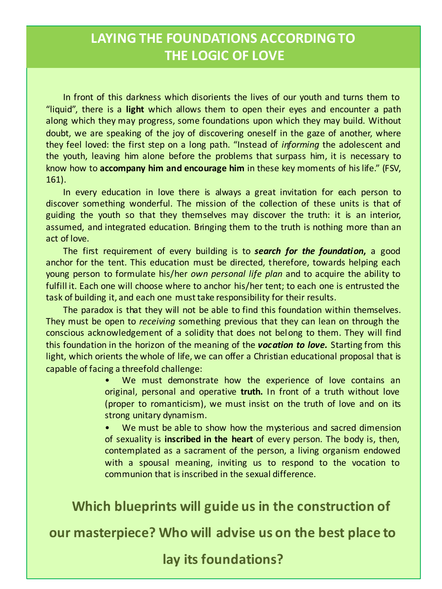# LAYING THE FOUNDATIONS ACCORDING TO **THE LOGIC OF LOVE**

In front of this darkness which disorients the lives of our youth and turns them to "liquid", there is a **light** which allows them to open their eyes and encounter a path along which they may progress, some foundations upon which they may build. Without doubt, we are speaking of the joy of discovering oneself in the gaze of another, where they feel loved: the first step on a long path. "Instead of *informing* the adolescent and the youth, leaving him alone before the problems that surpass him, it is necessary to know how to **accompany him and encourage him** in these key moments of hislife." (FSV, 161).

In every education in love there is always a great invitation for each person to discover something wonderful. The mission of the collection of these units is that of guiding the youth so that they themselves may discover the truth: it is an interior, assumed, and integrated education. Bringing them to the truth is nothing more than an act of love.

The first requirement of every building is to *search for the foundation***,** a good anchor for the tent. This education must be directed, therefore, towards helping each young person to formulate his/her *own personal life plan* and to acquire the ability to fulfill it. Each one will choose where to anchor his/her tent; to each one is entrusted the task of building it, and each one musttake responsibility for their results.

The paradox is that they will not be able to find this foundation within themselves. They must be open to *receiving* something previous that they can lean on through the conscious acknowledgement of a solidity that does not belong to them. They will find this foundation in the horizon of the meaning of the *vocation to love.* Starting from this light, which orients the whole of life, we can offer a Christian educational proposal that is capable of facing a threefold challenge:

> We must demonstrate how the experience of love contains an original, personal and operative **truth.** In front of a truth without love (proper to romanticism), we must insist on the truth of love and on its strong unitary dynamism.

> We must be able to show how the mysterious and sacred dimension of sexuality is **inscribed in the heart** of every person. The body is, then, contemplated as a sacrament of the person, a living organism endowed with a spousal meaning, inviting us to respond to the vocation to communion that isinscribed in the sexual difference.

**Which blueprints will guide us in the construction of** 

our masterpiece? Who will advise us on the best place to

lay its foundations?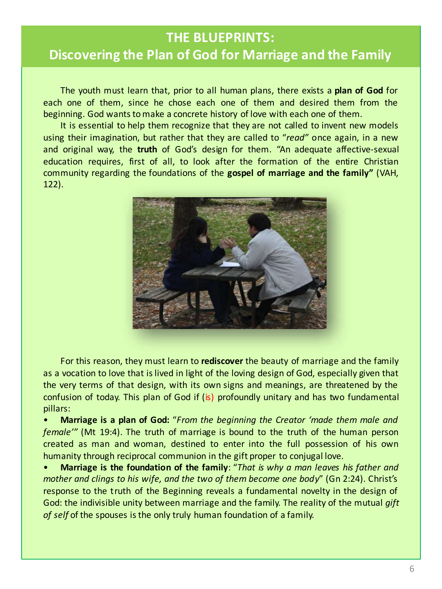#### **THE BLUEPRINTS:**

#### **Discovering the Plan of God for Marriage and the Family**

The youth must learn that, prior to all human plans, there exists a **plan of God** for each one of them, since he chose each one of them and desired them from the beginning. God wants to make a concrete history of love with each one of them.

It is essential to help them recognize that they are not called to invent new models using their imagination, but rather that they are called to "*read"* once again, in a new and original way, the **truth** of God's design for them. "An adequate affective-sexual education requires, first of all, to look after the formation of the entire Christian community regarding the foundations of the **gospel of marriage and the family"** (VAH, 122).



For this reason, they must learn to **rediscover** the beauty of marriage and the family as a vocation to love that is lived in light of the loving design of God, especially given that the very terms of that design, with its own signs and meanings, are threatened by the confusion of today. This plan of God if (is) profoundly unitary and has two fundamental pillars:

• **Marriage is a plan of God:** "*From the beginning the Creator 'made them male and female'"* (Mt 19:4). The truth of marriage is bound to the truth of the human person created as man and woman, destined to enter into the full possession of his own humanity through reciprocal communion in the gift proper to conjugal love.

• **Marriage is the foundation of the family**: "*That is why a man leaves his father and mother and clings to his wife, and the two of them become one body*" (Gn 2:24). Christ's response to the truth of the Beginning reveals a fundamental novelty in the design of God: the indivisible unity between marriage and the family. The reality of the mutual *gift of self* of the spouses isthe only truly human foundation of a family.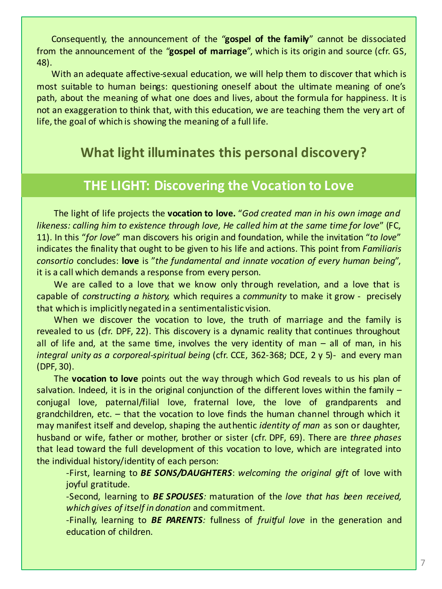Consequently, the announcement of the "**gospel of the family**" cannot be dissociated from the announcement of the "**gospel of marriage**", which is its origin and source (cfr. GS, 48).

With an adequate affective-sexual education, we will help them to discover that which is most suitable to human beings: questioning oneself about the ultimate meaning of one's path, about the meaning of what one does and lives, about the formula for happiness. It is not an exaggeration to think that, with this education, we are teaching them the very art of life, the goal of which is showing the meaning of a full life.

# **What light illuminates this personal discovery?**

#### **THE LIGHT: Discovering the Vocation to Love**

The light of life projects the **vocation to love.** "*God created man in his own image and likeness: calling him to existence through love, He called him at the same time for love*" (FC, 11). In this "*for love*" man discovers his origin and foundation, while the invitation "*to love*" indicates the finality that ought to be given to his life and actions. This point from *Familiaris consortio* concludes: **love** is "*the fundamental and innate vocation of every human being*", it is a call which demands a response from every person.

We are called to a love that we know only through revelation, and a love that is capable of *constructing a history,* which requires a *community* to make it grow - precisely that which is implicitlynegated in a sentimentalistic vision.

When we discover the vocation to love, the truth of marriage and the family is revealed to us (cfr. DPF, 22). This discovery is a dynamic reality that continues throughout all of life and, at the same time, involves the very identity of man  $-$  all of man, in his *integral unity as a corporeal-spiritual being* (cfr. CCE, 362-368; DCE, 2 y 5)- and every man (DPF, 30).

The **vocation to love** points out the way through which God reveals to us his plan of salvation. Indeed, it is in the original conjunction of the different loves within the family – conjugal love, paternal/filial love, fraternal love, the love of grandparents and grandchildren, etc. – that the vocation to love finds the human channel through which it may manifest itself and develop, shaping the authentic *identity of man* as son or daughter, husband or wife, father or mother, brother or sister (cfr. DPF, 69). There are *three phases* that lead toward the full development of this vocation to love, which are integrated into the individual history/identity of each person:

-First, learning to *BE SONS/DAUGHTERS*: *welcoming the original gift* of love with joyful gratitude.

-Second, learning to *BE SPOUSES:* maturation of the *love that has been received, which gives of itself in donation* and commitment.

-Finally, learning to *BE PARENTS:* fullness of *fruitful love* in the generation and education of children.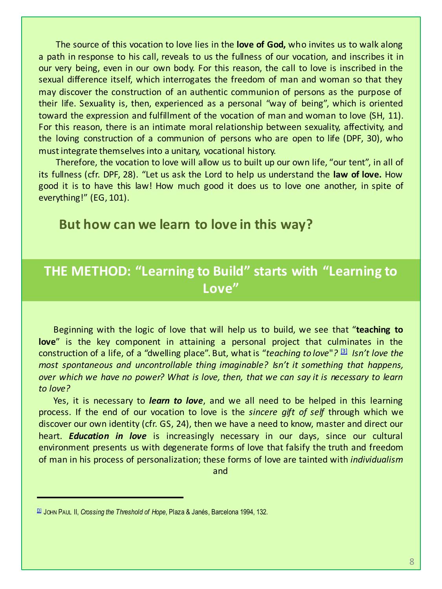The source of this vocation to love lies in the **love of God,** who invites us to walk along a path in response to his call, reveals to us the fullness of our vocation, and inscribes it in our very being, even in our own body. For this reason, the call to love is inscribed in the sexual difference itself, which interrogates the freedom of man and woman so that they may discover the construction of an authentic communion of persons as the purpose of their life. Sexuality is, then, experienced as a personal "way of being", which is oriented toward the expression and fulfillment of the vocation of man and woman to love (SH, 11). For this reason, there is an intimate moral relationship between sexuality, affectivity, and the loving construction of a communion of persons who are open to life (DPF, 30), who mustintegrate themselvesinto a unitary, vocational history.

Therefore, the vocation to love will allow us to built up our own life, "our tent", in all of its fullness (cfr. DPF, 28). "Let us ask the Lord to help us understand the **law of love.** How good it is to have this law! How much good it does us to love one another, in spite of everything!" (EG, 101).

#### **But how can we learn to love in this way?**

#### **THE METHOD: "Learning to Build" starts with "Learning to Love"**

Beginning with the logic of love that will help us to build, we see that "**teaching to love**" is the key component in attaining a personal project that culminates in the construction of a life, of a "dwelling place". But, whatis "*teaching to love*"*?* [3] *Isn't love the most spontaneous and uncontrollable thing imaginable? Isn't it something that happens, over which we have no power? What is love, then, that we can say it is necessary to learn to love?*

Yes, it is necessary to *learn to love*, and we all need to be helped in this learning process. If the end of our vocation to love is the *sincere gift of self* through which we discover our own identity (cfr. GS, 24), then we have a need to know, master and direct our heart. *Education in love* is increasingly necessary in our days, since our cultural environment presents us with degenerate forms of love that falsify the truth and freedom of man in his process of personalization; these forms of love are tainted with *individualism*

and

<sup>[3]</sup> JOHN PAUL II, *Crossing the Threshold of Hope*, Plaza & Janés, Barcelona 1994, 132.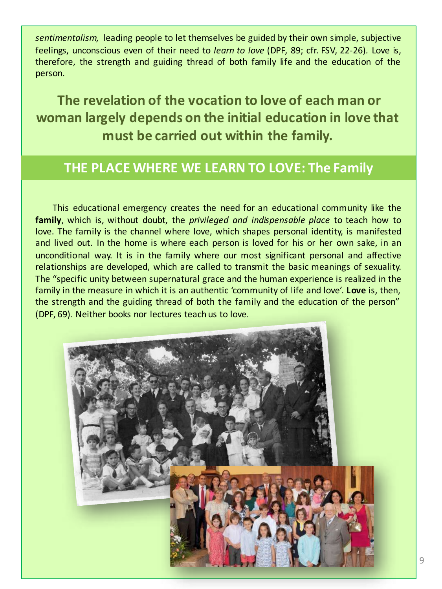*sentimentalism,* leading people to let themselves be guided by their own simple, subjective feelings, unconscious even of their need to *learn to love* (DPF, 89; cfr. FSV, 22-26)*.* Love is, therefore, the strength and guiding thread of both family life and the education of the person.

**The revelation of the vocation to love of each man or woman largely depends on the initial education in love that** must be carried out within the family.

#### **THE PLACE WHERE WE LEARN TO LOVE: The Family**

This educational emergency creates the need for an educational community like the **family**, which is, without doubt, the *privileged and indispensable place* to teach how to love. The family is the channel where love, which shapes personal identity, is manifested and lived out. In the home is where each person is loved for his or her own sake, in an unconditional way. It is in the family where our most significant personal and affective relationships are developed, which are called to transmit the basic meanings of sexuality. The "specific unity between supernatural grace and the human experience is realized in the family in the measure in which it is an authentic 'community of life and love'. **Love** is, then, the strength and the guiding thread of both the family and the education of the person" (DPF, 69). Neither books nor lectures teach us to love.

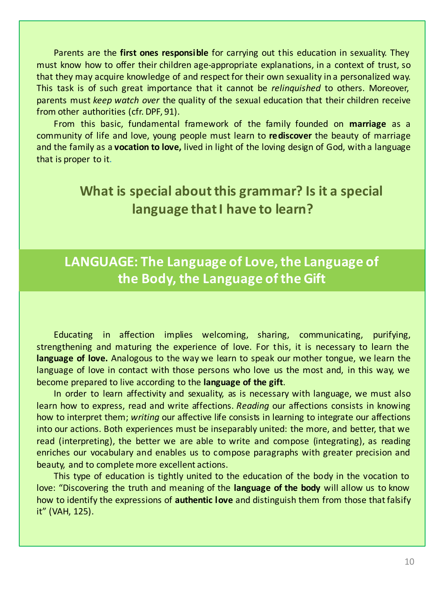Parents are the **first ones responsible** for carrying out this education in sexuality. They must know how to offer their children age-appropriate explanations, in a context of trust, so that they may acquire knowledge of and respect for their own sexuality in a personalized way. This task is of such great importance that it cannot be *relinquished* to others. Moreover, parents must *keep watch over* the quality of the sexual education that their children receive from other authorities (cfr. DPF, 91).

From this basic, fundamental framework of the family founded on **marriage** as a community of life and love, young people must learn to **rediscover** the beauty of marriage and the family as a **vocation to love,** lived in light of the loving design of God, with a language that is proper to it.

# **What is special about this grammar? Is it a special language that I have to learn?**

# LANGUAGE: The Language of Love, the Language of **the Body, the Language of the Gift**

Educating in affection implies welcoming, sharing, communicating, purifying, strengthening and maturing the experience of love. For this, it is necessary to learn the **language of love.** Analogous to the way we learn to speak our mother tongue, we learn the language of love in contact with those persons who love us the most and, in this way, we become prepared to live according to the **language of the gift**.

In order to learn affectivity and sexuality, as is necessary with language, we must also learn how to express, read and write affections. *Reading* our affections consists in knowing how to interpret them; *writing* our affective life consists in learning to integrate our affections into our actions. Both experiences must be inseparably united: the more, and better, that we read (interpreting), the better we are able to write and compose (integrating), as reading enriches our vocabulary and enables us to compose paragraphs with greater precision and beauty, and to complete more excellent actions.

This type of education is tightly united to the education of the body in the vocation to love: "Discovering the truth and meaning of the **language of the body** will allow us to know how to identify the expressions of **authentic love** and distinguish them from those thatfalsify it" (VAH, 125).